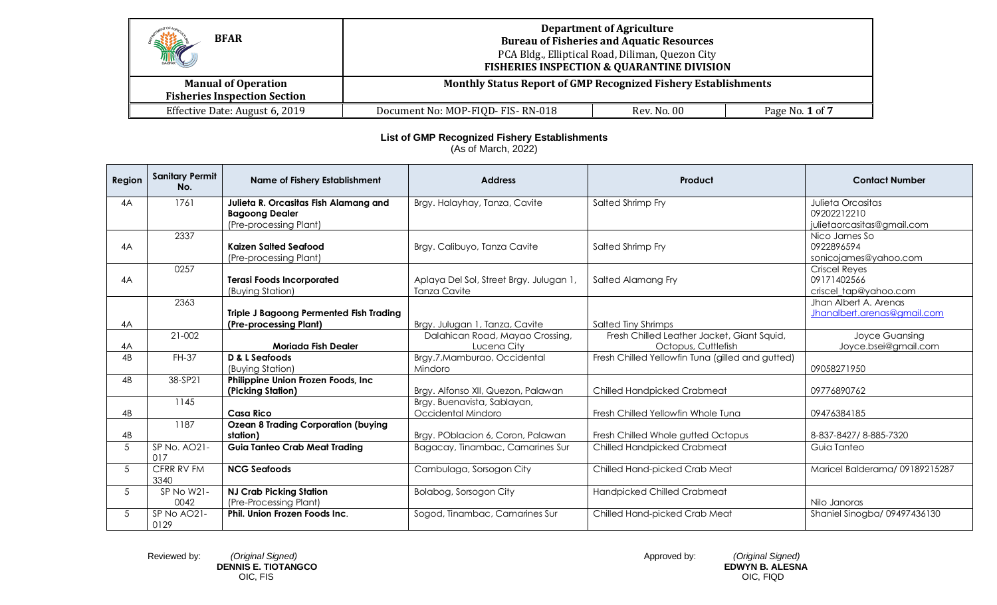| <b>BFAR</b><br>MC                                                 | <b>Department of Agriculture</b><br><b>Bureau of Fisheries and Aquatic Resources</b><br>PCA Bldg., Elliptical Road, Diliman, Quezon City<br><b>FISHERIES INSPECTION &amp; QUARANTINE DIVISION</b> |                    |                 |
|-------------------------------------------------------------------|---------------------------------------------------------------------------------------------------------------------------------------------------------------------------------------------------|--------------------|-----------------|
| <b>Manual of Operation</b><br><b>Fisheries Inspection Section</b> | <b>Monthly Status Report of GMP Recognized Fishery Establishments</b>                                                                                                                             |                    |                 |
| Effective Date: August 6, 2019                                    | Document No: MOP-FIQD- FIS-RN-018                                                                                                                                                                 | <b>Rev. No. 00</b> | Page No. 1 of 7 |

## **List of GMP Recognized Fishery Establishments**

(As of March, 2022)

| Region | <b>Sanitary Permit</b><br>No. | <b>Name of Fishery Establishment</b>                                                     | <b>Address</b>                                                 | Product                                                           | <b>Contact Number</b>                                          |
|--------|-------------------------------|------------------------------------------------------------------------------------------|----------------------------------------------------------------|-------------------------------------------------------------------|----------------------------------------------------------------|
| 4A     | 1761                          | Julieta R. Orcasitas Fish Alamang and<br><b>Bagoong Dealer</b><br>(Pre-processing Plant) | Brgy. Halayhay, Tanza, Cavite                                  | Salted Shrimp Fry                                                 | Julieta Orcasitas<br>09202212210<br>julietaorcasitas@gmail.com |
| 4A     | 2337                          | Kaizen Salted Seafood<br>(Pre-processing Plant)                                          | Brgy. Calibuyo, Tanza Cavite                                   | Salted Shrimp Fry                                                 | Nico James So<br>0922896594<br>sonicojames@yahoo.com           |
| 4A     | 0257                          | <b>Terasi Foods Incorporated</b><br>(Buying Station)                                     | Aplaya Del Sol, Street Brgy. Julugan 1,<br><b>Tanza Cavite</b> | Salted Alamang Fry                                                | Criscel Reyes<br>09171402566<br>criscel_tap@yahoo.com          |
| 4A     | 2363                          | <b>Triple J Bagoong Permented Fish Trading</b><br>(Pre-processing Plant)                 | Brgy. Julugan 1, Tanza, Cavite                                 | <b>Salted Tiny Shrimps</b>                                        | Jhan Albert A. Arenas<br>Jhanalbert.arenas@gmail.com           |
| 4A     | 21-002                        | <b>Moriada Fish Dealer</b>                                                               | Dalahican Road, Mayao Crossing,<br>Lucena City                 | Fresh Chilled Leather Jacket, Giant Squid,<br>Octopus, Cuttlefish | Joyce Guansing<br>Joyce.bsei@gmail.com                         |
| 4B     | <b>FH-37</b>                  | D & L Seafoods<br>(Buying Station)                                                       | Brgy.7, Mamburao, Occidental<br>Mindoro                        | Fresh Chilled Yellowfin Tuna (gilled and gutted)                  | 09058271950                                                    |
| 4B     | 38-SP21                       | Philippine Union Frozen Foods, Inc.<br>(Picking Station)                                 | Brgy. Alfonso XII, Quezon, Palawan                             | <b>Chilled Handpicked Crabmeat</b>                                | 09776890762                                                    |
| 4B     | 1145                          | <b>Casa Rico</b>                                                                         | Brgy. Buenavista, Sablayan,<br>Occidental Mindoro              | Fresh Chilled Yellowfin Whole Tuna                                | 09476384185                                                    |
| 4B     | 1187                          | <b>Ozean 8 Trading Corporation (buying</b><br>station)                                   | Brgy. POblacion 6, Coron, Palawan                              | Fresh Chilled Whole gutted Octopus                                | 8-837-8427/8-885-7320                                          |
| 5      | SP No. AO21-<br>017           | <b>Guia Tanteo Crab Meat Trading</b>                                                     | Bagacay, Tinambac, Camarines Sur                               | <b>Chilled Handpicked Crabmeat</b>                                | Guia Tanteo                                                    |
| .5     | CFRR RV FM<br>3340            | <b>NCG Seafoods</b>                                                                      | Cambulaga, Sorsogon City                                       | Chilled Hand-picked Crab Meat                                     | Maricel Balderama/09189215287                                  |
| 5      | SP No W21-<br>0042            | <b>NJ Crab Picking Station</b><br>(Pre-Processing Plant)                                 | Bolabog, Sorsogon City                                         | Handpicked Chilled Crabmeat                                       | Nilo Janoras                                                   |
| 5      | SP No AO21-<br>0129           | Phil. Union Frozen Foods Inc.                                                            | Sogod, Tinambac, Camarines Sur                                 | Chilled Hand-picked Crab Meat                                     | Shaniel Sinogba/ 09497436130                                   |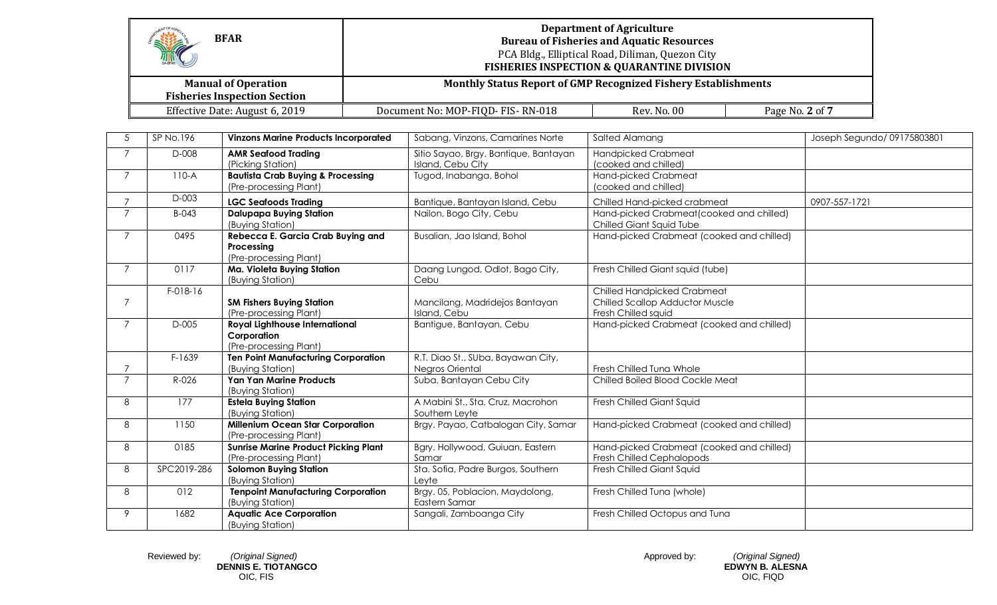| <b>BFAR</b><br><b>ANGEL AND STREET</b>                            | <b>Department of Agriculture</b><br><b>Bureau of Fisheries and Aquatic Resources</b><br>PCA Bldg., Elliptical Road, Diliman, Quezon City<br><b>FISHERIES INSPECTION &amp; QUARANTINE DIVISION</b> |             |                 |
|-------------------------------------------------------------------|---------------------------------------------------------------------------------------------------------------------------------------------------------------------------------------------------|-------------|-----------------|
| <b>Manual of Operation</b><br><b>Fisheries Inspection Section</b> | <b>Monthly Status Report of GMP Recognized Fishery Establishments</b>                                                                                                                             |             |                 |
| Effective Date: August 6, 2019                                    | Document No: MOP-FIQD- FIS-RN-018                                                                                                                                                                 | Rev. No. 00 | Page No. 2 of 7 |

| 5              | SP No.196   | <b>Vinzons Marine Products Incorporated</b>                                    | Sabang, Vinzons, Camarines Norte                           | Salted Alamang                                                                               | Joseph Segundo/ 09175803801 |
|----------------|-------------|--------------------------------------------------------------------------------|------------------------------------------------------------|----------------------------------------------------------------------------------------------|-----------------------------|
| $\overline{7}$ | D-008       | <b>AMR Seafood Trading</b><br>(Picking Station)                                | Sitio Sayao, Brgy. Bantique, Bantayan<br>Island, Cebu City | Handpicked Crabmeat<br>(cooked and chilled)                                                  |                             |
| $\overline{7}$ | $110-A$     | <b>Bautista Crab Buying &amp; Processing</b><br>(Pre-processing Plant)         | Tugod, Inabanga, Bohol                                     | Hand-picked Crabmeat<br>(cooked and chilled)                                                 |                             |
|                | D-003       | <b>LGC Seafoods Trading</b>                                                    | Bantique, Bantayan Island, Cebu                            | Chilled Hand-picked crabmeat                                                                 | 0907-557-1721               |
| $\overline{7}$ | B-043       | <b>Dalupapa Buying Station</b><br>(Buying Station)                             | Nailon, Bogo City, Cebu                                    | Hand-picked Crabmeat (cooked and chilled)<br>Chilled Giant Squid Tube                        |                             |
| $7^{\circ}$    | 0495        | Rebecca E. Garcia Crab Buying and<br>Processing<br>(Pre-processing Plant)      | Busalian, Jao Island, Bohol                                | Hand-picked Crabmeat (cooked and chilled)                                                    |                             |
| $\overline{7}$ | 0117        | Ma. Violeta Buying Station<br>(Buying Station)                                 | Daang Lungod, Odlot, Bago City,<br>Cebu                    | Fresh Chilled Giant squid (tube)                                                             |                             |
| $\overline{7}$ | F-018-16    | <b>SM Fishers Buying Station</b><br>(Pre-processing Plant)                     | Mancilang, Madridejos Bantayan<br>Island, Cebu             | Chilled Handpicked Crabmeat<br><b>Chilled Scallop Adductor Muscle</b><br>Fresh Chilled squid |                             |
| $\overline{7}$ | D-005       | <b>Royal Lighthouse International</b><br>Corporation<br>(Pre-processing Plant) | Bantigue, Bantayan, Cebu                                   | Hand-picked Crabmeat (cooked and chilled)                                                    |                             |
|                | F-1639      | <b>Ten Point Manufacturing Corporation</b><br>(Buying Station)                 | R.T. Diao St., SUba, Bayawan City,<br>Negros Oriental      | Fresh Chilled Tuna Whole                                                                     |                             |
| $\overline{7}$ | R-026       | <b>Yan Yan Marine Products</b><br>(Buying Station)                             | Suba, Bantayan Cebu City                                   | Chilled Boiled Blood Cockle Meat                                                             |                             |
| 8              | 177         | <b>Estela Buying Station</b><br>(Buying Station)                               | A Mabini St., Sta. Cruz, Macrohon<br>Southern Leyte        | Fresh Chilled Giant Squid                                                                    |                             |
| 8              | 1150        | <b>Millenium Ocean Star Corporation</b><br>(Pre-processing Plant)              | Brgy. Payao, Catbalogan City, Samar                        | Hand-picked Crabmeat (cooked and chilled)                                                    |                             |
| 8              | 0185        | <b>Sunrise Marine Product Picking Plant</b><br>(Pre-processing Plant)          | Bgry. Hollywood, Guiuan, Eastern<br>Samar                  | Hand-picked Crabmeat (cooked and chilled)<br><b>Fresh Chilled Cephalopods</b>                |                             |
| 8              | SPC2019-286 | <b>Solomon Buying Station</b><br>(Buying Station)                              | Sta. Sofia, Padre Burgos, Southern<br>Leyte                | Fresh Chilled Giant Squid                                                                    |                             |
| 8              | 012         | <b>Tenpoint Manufacturing Corporation</b><br>(Buying Station)                  | Brgy. 05, Poblacion, Maydolong,<br>Eastern Samar           | Fresh Chilled Tuna (whole)                                                                   |                             |
| 9              | 1682        | <b>Aquatic Ace Corporation</b><br>(Buying Station)                             | Sangali, Zamboanga City                                    | Fresh Chilled Octopus and Tuna                                                               |                             |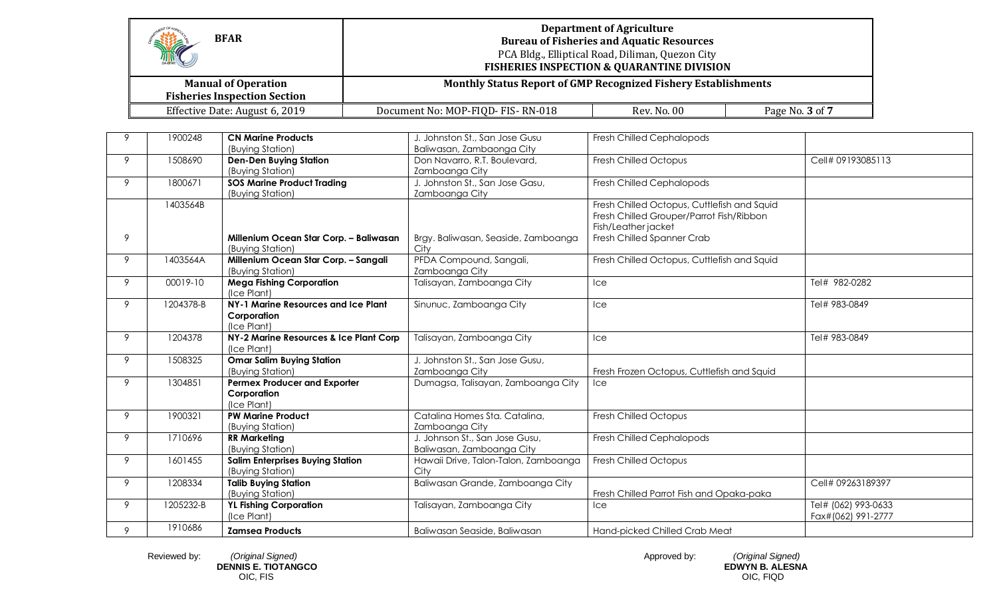|   |           | <b>BFAR</b>                                                                  |                                                                      | <b>Department of Agriculture</b><br><b>Bureau of Fisheries and Aquatic Resources</b><br>PCA Bldg., Elliptical Road, Diliman, Quezon City<br><b>FISHERIES INSPECTION &amp; QUARANTINE DIVISION</b> |                                           |
|---|-----------|------------------------------------------------------------------------------|----------------------------------------------------------------------|---------------------------------------------------------------------------------------------------------------------------------------------------------------------------------------------------|-------------------------------------------|
|   |           | <b>Manual of Operation</b><br><b>Fisheries Inspection Section</b>            | Monthly Status Report of GMP Recognized Fishery Establishments       |                                                                                                                                                                                                   |                                           |
|   |           | Effective Date: August 6, 2019                                               | Document No: MOP-FIQD- FIS-RN-018                                    | <b>Rev. No. 00</b>                                                                                                                                                                                | Page No. 3 of 7                           |
| 9 | 1900248   | <b>CN Marine Products</b><br>(Buying Station)                                | J. Johnston St., San Jose Gusu<br>Baliwasan, Zambaonga City          | Fresh Chilled Cephalopods                                                                                                                                                                         |                                           |
| 9 | 1508690   | <b>Den-Den Buying Station</b><br>(Buying Station)                            | Don Navarro, R.T. Boulevard,<br>Zamboanga City                       | Fresh Chilled Octopus                                                                                                                                                                             | Cell# 09193085113                         |
| 9 | 1800671   | <b>SOS Marine Product Trading</b><br>(Buying Station)                        | J. Johnston St., San Jose Gasu,<br>Zamboanga City                    | <b>Fresh Chilled Cephalopods</b>                                                                                                                                                                  |                                           |
| 9 | 1403564B  | Millenium Ocean Star Corp. - Baliwasan                                       | Brgy. Baliwasan, Seaside, Zamboanga                                  | Fresh Chilled Octopus, Cuttlefish and Squid<br>Fresh Chilled Grouper/Parrot Fish/Ribbon<br>Fish/Leather jacket<br>Fresh Chilled Spanner Crab                                                      |                                           |
| 9 | 1403564A  | (Buying Station)<br>Millenium Ocean Star Corp. - Sangali<br>(Buying Station) | City<br>PFDA Compound, Sangali,<br>Zamboanga City                    | Fresh Chilled Octopus, Cuttlefish and Squid                                                                                                                                                       |                                           |
| 9 | 00019-10  | <b>Mega Fishing Corporation</b><br>(Ice Plant)                               | Talisayan, Zamboanga City                                            | Ice                                                                                                                                                                                               | Tel# 982-0282                             |
| 9 | 1204378-B | NY-1 Marine Resources and Ice Plant<br>Corporation<br>(Ice Plant)            | Sinunuc, Zamboanga City                                              | Ice                                                                                                                                                                                               | Tel# 983-0849                             |
| 9 | 1204378   | NY-2 Marine Resources & Ice Plant Corp<br>(Ice Plant)                        | Talisayan, Zamboanga City                                            | Ice                                                                                                                                                                                               | Tel# 983-0849                             |
| 9 | 1508325   | <b>Omar Salim Buying Station</b><br>(Buying Station)                         | J. Johnston St., San Jose Gusu,<br>Zamboanga City                    | Fresh Frozen Octopus, Cuttlefish and Squid                                                                                                                                                        |                                           |
| 9 | 1304851   | <b>Permex Producer and Exporter</b><br>Corporation<br>(Ice Plant)            | Dumagsa, Talisayan, Zamboanga City                                   | Ice                                                                                                                                                                                               |                                           |
| 9 | 1900321   | <b>PW Marine Product</b><br>(Buying Station)                                 | Catalina Homes Sta. Catalina,<br>Zamboanga City                      | Fresh Chilled Octopus                                                                                                                                                                             |                                           |
| 9 | 1710696   | <b>RR Marketing</b><br>(Buying Station)                                      | J. Johnson St., San Jose Gusu,<br>Baliwasan, Zamboanga City          | Fresh Chilled Cephalopods                                                                                                                                                                         |                                           |
| 9 | 1601455   | <b>Salim Enterprises Buying Station</b><br>(Buying Station)                  | Hawaii Drive, Talon-Talon, Zamboanga   Fresh Chilled Octopus<br>City |                                                                                                                                                                                                   |                                           |
| 9 | 1208334   | <b>Talib Buying Station</b><br>(Buying Station)                              | Baliwasan Grande, Zamboanga City                                     | Fresh Chilled Parrot Fish and Opaka-paka                                                                                                                                                          | Cell# 09263189397                         |
| 9 | 1205232-B | <b>YL Fishing Corporation</b><br>(Ice Plant)                                 | Talisayan, Zamboanga City                                            | Ice                                                                                                                                                                                               | Tel# (062) 993-0633<br>Fax#(062) 991-2777 |
| 9 | 1910686   | <b>Zamsea Products</b>                                                       | Baliwasan Seaside, Baliwasan                                         | Hand-picked Chilled Crab Meat                                                                                                                                                                     |                                           |

 Reviewed by: *(Original Signed)* Approved by: *(Original Signed)*  **DENNIS E. TIOTANGCO EDWYN B. ALESNA** OIC, FIS OIC, FIQD